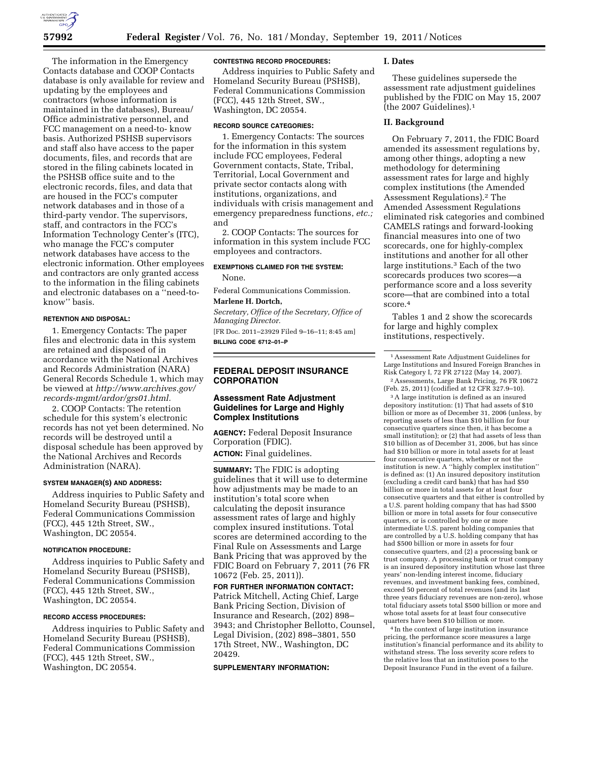

The information in the Emergency Contacts database and COOP Contacts database is only available for review and updating by the employees and contractors (whose information is maintained in the databases), Bureau/ Office administrative personnel, and FCC management on a need-to- know basis. Authorized PSHSB supervisors and staff also have access to the paper documents, files, and records that are stored in the filing cabinets located in the PSHSB office suite and to the electronic records, files, and data that are housed in the FCC's computer network databases and in those of a third-party vendor. The supervisors, staff, and contractors in the FCC's Information Technology Center's (ITC), who manage the FCC's computer network databases have access to the electronic information. Other employees and contractors are only granted access to the information in the filing cabinets and electronic databases on a ''need-toknow'' basis.

## **RETENTION AND DISPOSAL:**

1. Emergency Contacts: The paper files and electronic data in this system are retained and disposed of in accordance with the National Archives and Records Administration (NARA) General Records Schedule 1, which may be viewed at *[http://www.archives.gov/](http://www.archives.gov/records-mgmt/ardor/grs01.html)  [records-mgmt/ardor/grs01.html.](http://www.archives.gov/records-mgmt/ardor/grs01.html)* 

2. COOP Contacts: The retention schedule for this system's electronic records has not yet been determined. No records will be destroyed until a disposal schedule has been approved by the National Archives and Records Administration (NARA).

#### **SYSTEM MANAGER(S) AND ADDRESS:**

Address inquiries to Public Safety and Homeland Security Bureau (PSHSB), Federal Communications Commission (FCC), 445 12th Street, SW., Washington, DC 20554.

#### **NOTIFICATION PROCEDURE:**

Address inquiries to Public Safety and Homeland Security Bureau (PSHSB), Federal Communications Commission (FCC), 445 12th Street, SW., Washington, DC 20554.

#### **RECORD ACCESS PROCEDURES:**

Address inquiries to Public Safety and Homeland Security Bureau (PSHSB), Federal Communications Commission (FCC), 445 12th Street, SW., Washington, DC 20554.

#### **CONTESTING RECORD PROCEDURES:**

Address inquiries to Public Safety and Homeland Security Bureau (PSHSB), Federal Communications Commission (FCC), 445 12th Street, SW., Washington, DC 20554.

#### **RECORD SOURCE CATEGORIES:**

1. Emergency Contacts: The sources for the information in this system include FCC employees, Federal Government contacts, State, Tribal, Territorial, Local Government and private sector contacts along with institutions, organizations, and individuals with crisis management and emergency preparedness functions, *etc.;*  and

2. COOP Contacts: The sources for information in this system include FCC employees and contractors.

# **EXEMPTIONS CLAIMED FOR THE SYSTEM:**

None.

Federal Communications Commission. **Marlene H. Dortch,** 

*Secretary, Office of the Secretary, Office of Managing Director.*  [FR Doc. 2011–23929 Filed 9–16–11; 8:45 am]

**BILLING CODE 6712–01–P** 

## **FEDERAL DEPOSIT INSURANCE CORPORATION**

## **Assessment Rate Adjustment Guidelines for Large and Highly Complex Institutions**

**AGENCY:** Federal Deposit Insurance Corporation (FDIC). **ACTION:** Final guidelines.

**SUMMARY:** The FDIC is adopting guidelines that it will use to determine how adjustments may be made to an institution's total score when calculating the deposit insurance assessment rates of large and highly complex insured institutions. Total scores are determined according to the Final Rule on Assessments and Large Bank Pricing that was approved by the FDIC Board on February 7, 2011 (76 FR 10672 (Feb. 25, 2011)).

**FOR FURTHER INFORMATION CONTACT:**  Patrick Mitchell, Acting Chief, Large Bank Pricing Section, Division of Insurance and Research, (202) 898– 3943; and Christopher Bellotto, Counsel, Legal Division, (202) 898–3801, 550 17th Street, NW., Washington, DC 20429.

## **SUPPLEMENTARY INFORMATION:**

## **I. Dates**

These guidelines supersede the assessment rate adjustment guidelines published by the FDIC on May 15, 2007 (the 2007 Guidelines).1

## **II. Background**

On February 7, 2011, the FDIC Board amended its assessment regulations by, among other things, adopting a new methodology for determining assessment rates for large and highly complex institutions (the Amended Assessment Regulations).2 The Amended Assessment Regulations eliminated risk categories and combined CAMELS ratings and forward-looking financial measures into one of two scorecards, one for highly-complex institutions and another for all other large institutions.3 Each of the two scorecards produces two scores—a performance score and a loss severity score—that are combined into a total score.4

Tables 1 and 2 show the scorecards for large and highly complex institutions, respectively.

1Assessment Rate Adjustment Guidelines for Large Institutions and Insured Foreign Branches in Risk Category I, 72 FR 27122 (May 14, 2007). 2Assessments, Large Bank Pricing, 76 FR 10672

(Feb. 25, 2011) (codified at 12 CFR 327.9–10).

3A large institution is defined as an insured depository institution: (1) That had assets of \$10 billion or more as of December 31, 2006 (unless, by reporting assets of less than \$10 billion for four consecutive quarters since then, it has become a small institution); or (2) that had assets of less than \$10 billion as of December 31, 2006, but has since had \$10 billion or more in total assets for at least four consecutive quarters, whether or not the institution is new. A ''highly complex institution'' is defined as: (1) An insured depository institution (excluding a credit card bank) that has had \$50 billion or more in total assets for at least four consecutive quarters and that either is controlled by a U.S. parent holding company that has had \$500 billion or more in total assets for four consecutive quarters, or is controlled by one or more intermediate U.S. parent holding companies that are controlled by a U.S. holding company that has had \$500 billion or more in assets for four consecutive quarters, and (2) a processing bank or trust company. A processing bank or trust company is an insured depository institution whose last three years' non-lending interest income, fiduciary revenues, and investment banking fees, combined, exceed 50 percent of total revenues (and its last three years fiduciary revenues are non-zero), whose total fiduciary assets total \$500 billion or more and whose total assets for at least four consecutive quarters have been \$10 billion or more.

4 In the context of large institution insurance pricing, the performance score measures a large institution's financial performance and its ability to withstand stress. The loss severity score refers to the relative loss that an institution poses to the Deposit Insurance Fund in the event of a failure.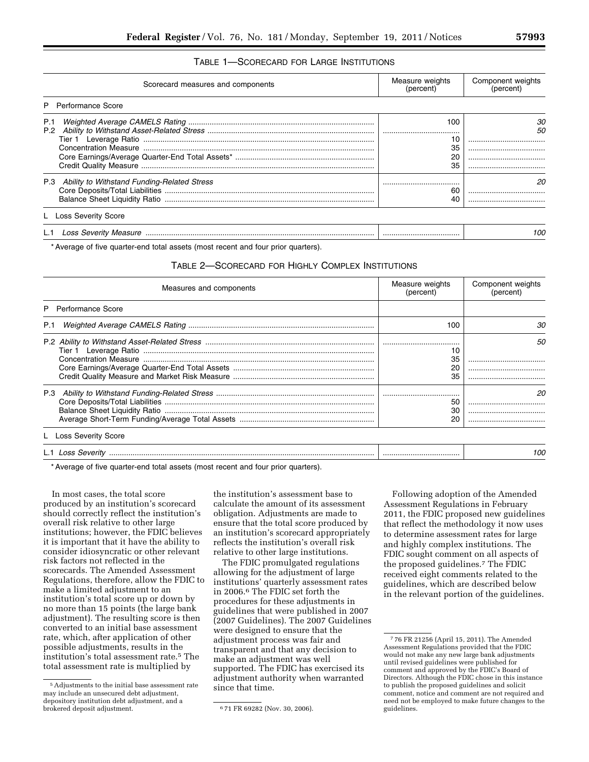## TABLE 1—SCORECARD FOR LARGE INSTITUTIONS

| Scorecard measures and components                                        | Measure weights<br>(percent) | Component weights<br>(percent) |
|--------------------------------------------------------------------------|------------------------------|--------------------------------|
| P Performance Score                                                      |                              |                                |
| P.1                                                                      | 100<br>35<br>20<br>35        | 30.<br>50<br><br><br><br>      |
| P.3 Ability to Withstand Funding-Related Stress<br>L Loss Severity Score | <br>60                       | 20<br>                         |
|                                                                          |                              | 100                            |

\* Average of five quarter-end total assets (most recent and four prior quarters).

#### TABLE 2—SCORECARD FOR HIGHLY COMPLEX INSTITUTIONS

| Measures and components    | Measure weights<br>(percent) | Component weights<br>(percent) |
|----------------------------|------------------------------|--------------------------------|
| P Performance Score        |                              |                                |
| P.1                        | 100                          | 30.                            |
|                            | 35                           | 50<br>                         |
|                            | 50<br>30<br>20               | 20<br><br>                     |
| <b>Loss Severity Score</b> |                              |                                |
|                            |                              | 10C                            |

\* Average of five quarter-end total assets (most recent and four prior quarters).

In most cases, the total score produced by an institution's scorecard should correctly reflect the institution's overall risk relative to other large institutions; however, the FDIC believes it is important that it have the ability to consider idiosyncratic or other relevant risk factors not reflected in the scorecards. The Amended Assessment Regulations, therefore, allow the FDIC to make a limited adjustment to an institution's total score up or down by no more than 15 points (the large bank adjustment). The resulting score is then converted to an initial base assessment rate, which, after application of other possible adjustments, results in the institution's total assessment rate.5 The total assessment rate is multiplied by

the institution's assessment base to calculate the amount of its assessment obligation. Adjustments are made to ensure that the total score produced by an institution's scorecard appropriately reflects the institution's overall risk relative to other large institutions.

The FDIC promulgated regulations allowing for the adjustment of large institutions' quarterly assessment rates in 2006.6 The FDIC set forth the procedures for these adjustments in guidelines that were published in 2007 (2007 Guidelines). The 2007 Guidelines were designed to ensure that the adjustment process was fair and transparent and that any decision to make an adjustment was well supported. The FDIC has exercised its adjustment authority when warranted since that time.

Following adoption of the Amended Assessment Regulations in February 2011, the FDIC proposed new guidelines that reflect the methodology it now uses to determine assessment rates for large and highly complex institutions. The FDIC sought comment on all aspects of the proposed guidelines.7 The FDIC received eight comments related to the guidelines, which are described below in the relevant portion of the guidelines.

<sup>5</sup>Adjustments to the initial base assessment rate may include an unsecured debt adjustment, depository institution debt adjustment, and a brokered deposit adjustment. 671 FR 69282 (Nov. 30, 2006).

<sup>7</sup> 76 FR 21256 (April 15, 2011). The Amended Assessment Regulations provided that the FDIC would not make any new large bank adjustments until revised guidelines were published for comment and approved by the FDIC's Board of Directors. Although the FDIC chose in this instance to publish the proposed guidelines and solicit comment, notice and comment are not required and need not be employed to make future changes to the guidelines.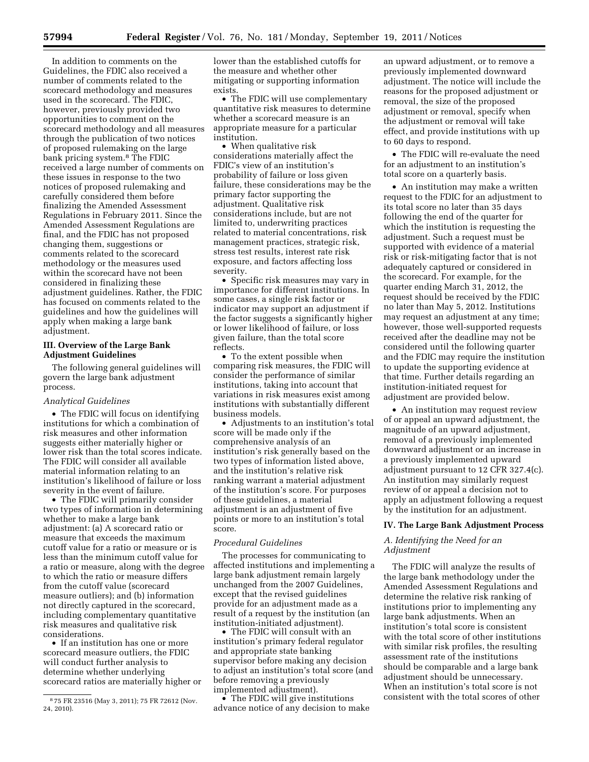In addition to comments on the Guidelines, the FDIC also received a number of comments related to the scorecard methodology and measures used in the scorecard. The FDIC, however, previously provided two opportunities to comment on the scorecard methodology and all measures through the publication of two notices of proposed rulemaking on the large bank pricing system.8 The FDIC received a large number of comments on these issues in response to the two notices of proposed rulemaking and carefully considered them before finalizing the Amended Assessment Regulations in February 2011. Since the Amended Assessment Regulations are final, and the FDIC has not proposed changing them, suggestions or comments related to the scorecard methodology or the measures used within the scorecard have not been considered in finalizing these adjustment guidelines. Rather, the FDIC has focused on comments related to the guidelines and how the guidelines will apply when making a large bank adjustment.

### **III. Overview of the Large Bank Adjustment Guidelines**

The following general guidelines will govern the large bank adjustment process.

### *Analytical Guidelines*

• The FDIC will focus on identifying institutions for which a combination of risk measures and other information suggests either materially higher or lower risk than the total scores indicate. The FDIC will consider all available material information relating to an institution's likelihood of failure or loss severity in the event of failure.

• The FDIC will primarily consider two types of information in determining whether to make a large bank adjustment: (a) A scorecard ratio or measure that exceeds the maximum cutoff value for a ratio or measure or is less than the minimum cutoff value for a ratio or measure, along with the degree to which the ratio or measure differs from the cutoff value (scorecard measure outliers); and (b) information not directly captured in the scorecard, including complementary quantitative risk measures and qualitative risk considerations.

• If an institution has one or more scorecard measure outliers, the FDIC will conduct further analysis to determine whether underlying scorecard ratios are materially higher or

lower than the established cutoffs for the measure and whether other mitigating or supporting information exists.

• The FDIC will use complementary quantitative risk measures to determine whether a scorecard measure is an appropriate measure for a particular institution.

• When qualitative risk considerations materially affect the FDIC's view of an institution's probability of failure or loss given failure, these considerations may be the primary factor supporting the adjustment. Qualitative risk considerations include, but are not limited to, underwriting practices related to material concentrations, risk management practices, strategic risk, stress test results, interest rate risk exposure, and factors affecting loss severity.

• Specific risk measures may vary in importance for different institutions. In some cases, a single risk factor or indicator may support an adjustment if the factor suggests a significantly higher or lower likelihood of failure, or loss given failure, than the total score reflects.

• To the extent possible when comparing risk measures, the FDIC will consider the performance of similar institutions, taking into account that variations in risk measures exist among institutions with substantially different business models.

• Adjustments to an institution's total score will be made only if the comprehensive analysis of an institution's risk generally based on the two types of information listed above, and the institution's relative risk ranking warrant a material adjustment of the institution's score. For purposes of these guidelines, a material adjustment is an adjustment of five points or more to an institution's total score.

#### *Procedural Guidelines*

The processes for communicating to affected institutions and implementing a large bank adjustment remain largely unchanged from the 2007 Guidelines, except that the revised guidelines provide for an adjustment made as a result of a request by the institution (an institution-initiated adjustment).

• The FDIC will consult with an institution's primary federal regulator and appropriate state banking supervisor before making any decision to adjust an institution's total score (and before removing a previously implemented adjustment).

• The FDIC will give institutions advance notice of any decision to make

an upward adjustment, or to remove a previously implemented downward adjustment. The notice will include the reasons for the proposed adjustment or removal, the size of the proposed adjustment or removal, specify when the adjustment or removal will take effect, and provide institutions with up to 60 days to respond.

• The FDIC will re-evaluate the need for an adjustment to an institution's total score on a quarterly basis.

• An institution may make a written request to the FDIC for an adjustment to its total score no later than 35 days following the end of the quarter for which the institution is requesting the adjustment. Such a request must be supported with evidence of a material risk or risk-mitigating factor that is not adequately captured or considered in the scorecard. For example, for the quarter ending March 31, 2012, the request should be received by the FDIC no later than May 5, 2012. Institutions may request an adjustment at any time; however, those well-supported requests received after the deadline may not be considered until the following quarter and the FDIC may require the institution to update the supporting evidence at that time. Further details regarding an institution-initiated request for adjustment are provided below.

• An institution may request review of or appeal an upward adjustment, the magnitude of an upward adjustment, removal of a previously implemented downward adjustment or an increase in a previously implemented upward adjustment pursuant to 12 CFR 327.4(c). An institution may similarly request review of or appeal a decision not to apply an adjustment following a request by the institution for an adjustment.

#### **IV. The Large Bank Adjustment Process**

# *A. Identifying the Need for an Adjustment*

The FDIC will analyze the results of the large bank methodology under the Amended Assessment Regulations and determine the relative risk ranking of institutions prior to implementing any large bank adjustments. When an institution's total score is consistent with the total score of other institutions with similar risk profiles, the resulting assessment rate of the institutions should be comparable and a large bank adjustment should be unnecessary. When an institution's total score is not consistent with the total scores of other

<sup>8</sup> 75 FR 23516 (May 3, 2011); 75 FR 72612 (Nov. 24, 2010).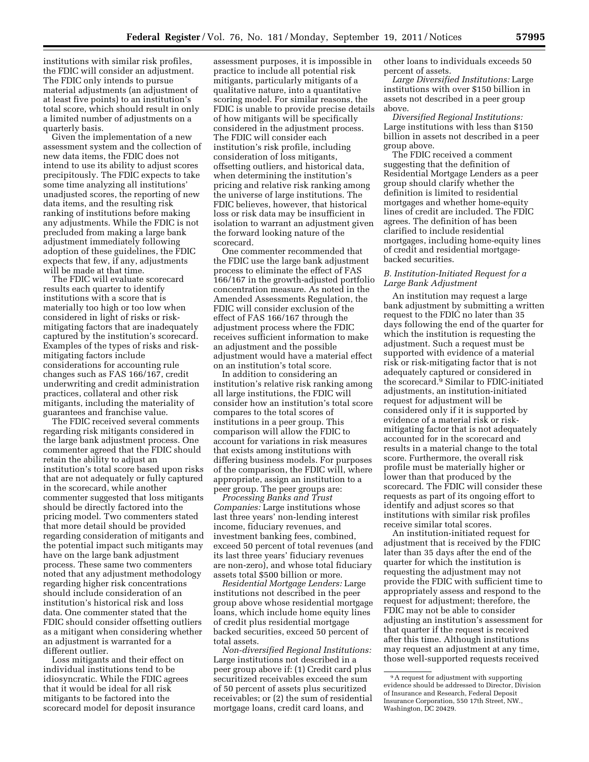institutions with similar risk profiles, the FDIC will consider an adjustment. The FDIC only intends to pursue material adjustments (an adjustment of at least five points) to an institution's total score, which should result in only a limited number of adjustments on a quarterly basis.

Given the implementation of a new assessment system and the collection of new data items, the FDIC does not intend to use its ability to adjust scores precipitously. The FDIC expects to take some time analyzing all institutions' unadjusted scores, the reporting of new data items, and the resulting risk ranking of institutions before making any adjustments. While the FDIC is not precluded from making a large bank adjustment immediately following adoption of these guidelines, the FDIC expects that few, if any, adjustments will be made at that time.

The FDIC will evaluate scorecard results each quarter to identify institutions with a score that is materially too high or too low when considered in light of risks or riskmitigating factors that are inadequately captured by the institution's scorecard. Examples of the types of risks and riskmitigating factors include considerations for accounting rule changes such as FAS 166/167, credit underwriting and credit administration practices, collateral and other risk mitigants, including the materiality of guarantees and franchise value.

The FDIC received several comments regarding risk mitigants considered in the large bank adjustment process. One commenter agreed that the FDIC should retain the ability to adjust an institution's total score based upon risks that are not adequately or fully captured in the scorecard, while another commenter suggested that loss mitigants should be directly factored into the pricing model. Two commenters stated that more detail should be provided regarding consideration of mitigants and the potential impact such mitigants may have on the large bank adjustment process. These same two commenters noted that any adjustment methodology regarding higher risk concentrations should include consideration of an institution's historical risk and loss data. One commenter stated that the FDIC should consider offsetting outliers as a mitigant when considering whether an adjustment is warranted for a different outlier.

Loss mitigants and their effect on individual institutions tend to be idiosyncratic. While the FDIC agrees that it would be ideal for all risk mitigants to be factored into the scorecard model for deposit insurance

assessment purposes, it is impossible in practice to include all potential risk mitigants, particularly mitigants of a qualitative nature, into a quantitative scoring model. For similar reasons, the FDIC is unable to provide precise details of how mitigants will be specifically considered in the adjustment process. The FDIC will consider each institution's risk profile, including consideration of loss mitigants, offsetting outliers, and historical data, when determining the institution's pricing and relative risk ranking among the universe of large institutions. The FDIC believes, however, that historical loss or risk data may be insufficient in isolation to warrant an adjustment given the forward looking nature of the scorecard.

One commenter recommended that the FDIC use the large bank adjustment process to eliminate the effect of FAS 166/167 in the growth-adjusted portfolio concentration measure. As noted in the Amended Assessments Regulation, the FDIC will consider exclusion of the effect of FAS 166/167 through the adjustment process where the FDIC receives sufficient information to make an adjustment and the possible adjustment would have a material effect on an institution's total score.

In addition to considering an institution's relative risk ranking among all large institutions, the FDIC will consider how an institution's total score compares to the total scores of institutions in a peer group. This comparison will allow the FDIC to account for variations in risk measures that exists among institutions with differing business models. For purposes of the comparison, the FDIC will, where appropriate, assign an institution to a peer group. The peer groups are:

*Processing Banks and Trust Companies:* Large institutions whose last three years' non-lending interest income, fiduciary revenues, and investment banking fees, combined, exceed 50 percent of total revenues (and its last three years' fiduciary revenues are non-zero), and whose total fiduciary assets total \$500 billion or more.

*Residential Mortgage Lenders:* Large institutions not described in the peer group above whose residential mortgage loans, which include home equity lines of credit plus residential mortgage backed securities, exceed 50 percent of total assets.

*Non-diversified Regional Institutions:*  Large institutions not described in a peer group above if: (1) Credit card plus securitized receivables exceed the sum of 50 percent of assets plus securitized receivables; or (2) the sum of residential mortgage loans, credit card loans, and

other loans to individuals exceeds 50 percent of assets.

*Large Diversified Institutions:* Large institutions with over \$150 billion in assets not described in a peer group above.

*Diversified Regional Institutions:*  Large institutions with less than \$150 billion in assets not described in a peer group above.

The FDIC received a comment suggesting that the definition of Residential Mortgage Lenders as a peer group should clarify whether the definition is limited to residential mortgages and whether home-equity lines of credit are included. The FDIC agrees. The definition of has been clarified to include residential mortgages, including home-equity lines of credit and residential mortgagebacked securities.

## *B. Institution-Initiated Request for a Large Bank Adjustment*

An institution may request a large bank adjustment by submitting a written request to the FDIC no later than 35 days following the end of the quarter for which the institution is requesting the adjustment. Such a request must be supported with evidence of a material risk or risk-mitigating factor that is not adequately captured or considered in the scorecard.9 Similar to FDIC-initiated adjustments, an institution-initiated request for adjustment will be considered only if it is supported by evidence of a material risk or riskmitigating factor that is not adequately accounted for in the scorecard and results in a material change to the total score. Furthermore, the overall risk profile must be materially higher or lower than that produced by the scorecard. The FDIC will consider these requests as part of its ongoing effort to identify and adjust scores so that institutions with similar risk profiles receive similar total scores.

An institution-initiated request for adjustment that is received by the FDIC later than 35 days after the end of the quarter for which the institution is requesting the adjustment may not provide the FDIC with sufficient time to appropriately assess and respond to the request for adjustment; therefore, the FDIC may not be able to consider adjusting an institution's assessment for that quarter if the request is received after this time. Although institutions may request an adjustment at any time, those well-supported requests received

<sup>9</sup>A request for adjustment with supporting evidence should be addressed to Director, Division of Insurance and Research, Federal Deposit Insurance Corporation, 550 17th Street, NW., Washington, DC 20429.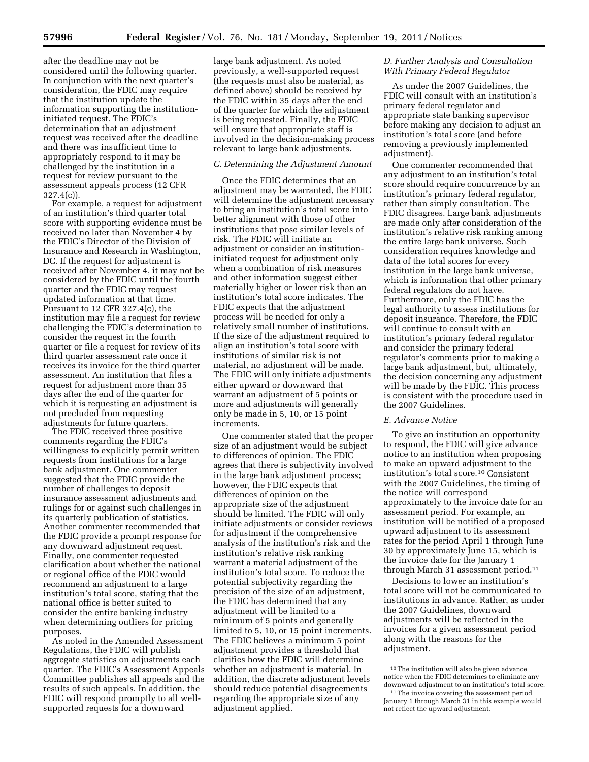after the deadline may not be considered until the following quarter. In conjunction with the next quarter's consideration, the FDIC may require that the institution update the information supporting the institutioninitiated request. The FDIC's determination that an adjustment request was received after the deadline and there was insufficient time to appropriately respond to it may be challenged by the institution in a request for review pursuant to the assessment appeals process (12 CFR 327.4(c)).

For example, a request for adjustment of an institution's third quarter total score with supporting evidence must be received no later than November 4 by the FDIC's Director of the Division of Insurance and Research in Washington, DC. If the request for adjustment is received after November 4, it may not be considered by the FDIC until the fourth quarter and the FDIC may request updated information at that time. Pursuant to 12 CFR 327.4(c), the institution may file a request for review challenging the FDIC's determination to consider the request in the fourth quarter or file a request for review of its third quarter assessment rate once it receives its invoice for the third quarter assessment. An institution that files a request for adjustment more than 35 days after the end of the quarter for which it is requesting an adjustment is not precluded from requesting adjustments for future quarters.

The FDIC received three positive comments regarding the FDIC's willingness to explicitly permit written requests from institutions for a large bank adjustment. One commenter suggested that the FDIC provide the number of challenges to deposit insurance assessment adjustments and rulings for or against such challenges in its quarterly publication of statistics. Another commenter recommended that the FDIC provide a prompt response for any downward adjustment request. Finally, one commenter requested clarification about whether the national or regional office of the FDIC would recommend an adjustment to a large institution's total score, stating that the national office is better suited to consider the entire banking industry when determining outliers for pricing purposes.

As noted in the Amended Assessment Regulations, the FDIC will publish aggregate statistics on adjustments each quarter. The FDIC's Assessment Appeals Committee publishes all appeals and the results of such appeals. In addition, the FDIC will respond promptly to all wellsupported requests for a downward

large bank adjustment. As noted previously, a well-supported request (the requests must also be material, as defined above) should be received by the FDIC within 35 days after the end of the quarter for which the adjustment is being requested. Finally, the FDIC will ensure that appropriate staff is involved in the decision-making process relevant to large bank adjustments.

### *C. Determining the Adjustment Amount*

Once the FDIC determines that an adjustment may be warranted, the FDIC will determine the adjustment necessary to bring an institution's total score into better alignment with those of other institutions that pose similar levels of risk. The FDIC will initiate an adjustment or consider an institutioninitiated request for adjustment only when a combination of risk measures and other information suggest either materially higher or lower risk than an institution's total score indicates. The FDIC expects that the adjustment process will be needed for only a relatively small number of institutions. If the size of the adjustment required to align an institution's total score with institutions of similar risk is not material, no adjustment will be made. The FDIC will only initiate adjustments either upward or downward that warrant an adjustment of 5 points or more and adjustments will generally only be made in 5, 10, or 15 point increments.

One commenter stated that the proper size of an adjustment would be subject to differences of opinion. The FDIC agrees that there is subjectivity involved in the large bank adjustment process; however, the FDIC expects that differences of opinion on the appropriate size of the adjustment should be limited. The FDIC will only initiate adjustments or consider reviews for adjustment if the comprehensive analysis of the institution's risk and the institution's relative risk ranking warrant a material adjustment of the institution's total score. To reduce the potential subjectivity regarding the precision of the size of an adjustment, the FDIC has determined that any adjustment will be limited to a minimum of 5 points and generally limited to 5, 10, or 15 point increments. The FDIC believes a minimum 5 point adjustment provides a threshold that clarifies how the FDIC will determine whether an adjustment is material. In addition, the discrete adjustment levels should reduce potential disagreements regarding the appropriate size of any adjustment applied.

#### *D. Further Analysis and Consultation With Primary Federal Regulator*

As under the 2007 Guidelines, the FDIC will consult with an institution's primary federal regulator and appropriate state banking supervisor before making any decision to adjust an institution's total score (and before removing a previously implemented adjustment).

One commenter recommended that any adjustment to an institution's total score should require concurrence by an institution's primary federal regulator, rather than simply consultation. The FDIC disagrees. Large bank adjustments are made only after consideration of the institution's relative risk ranking among the entire large bank universe. Such consideration requires knowledge and data of the total scores for every institution in the large bank universe, which is information that other primary federal regulators do not have. Furthermore, only the FDIC has the legal authority to assess institutions for deposit insurance. Therefore, the FDIC will continue to consult with an institution's primary federal regulator and consider the primary federal regulator's comments prior to making a large bank adjustment, but, ultimately, the decision concerning any adjustment will be made by the FDIC. This process is consistent with the procedure used in the 2007 Guidelines.

#### *E. Advance Notice*

To give an institution an opportunity to respond, the FDIC will give advance notice to an institution when proposing to make an upward adjustment to the institution's total score.10 Consistent with the 2007 Guidelines, the timing of the notice will correspond approximately to the invoice date for an assessment period. For example, an institution will be notified of a proposed upward adjustment to its assessment rates for the period April 1 through June 30 by approximately June 15, which is the invoice date for the January 1 through March 31 assessment period.<sup>11</sup>

Decisions to lower an institution's total score will not be communicated to institutions in advance. Rather, as under the 2007 Guidelines, downward adjustments will be reflected in the invoices for a given assessment period along with the reasons for the adjustment.

 $^{\rm 10}\!$  The institution will also be given advance notice when the FDIC determines to eliminate any downward adjustment to an institution's total score.

<sup>&</sup>lt;sup>11</sup>The invoice covering the assessment period January 1 through March 31 in this example would not reflect the upward adjustment.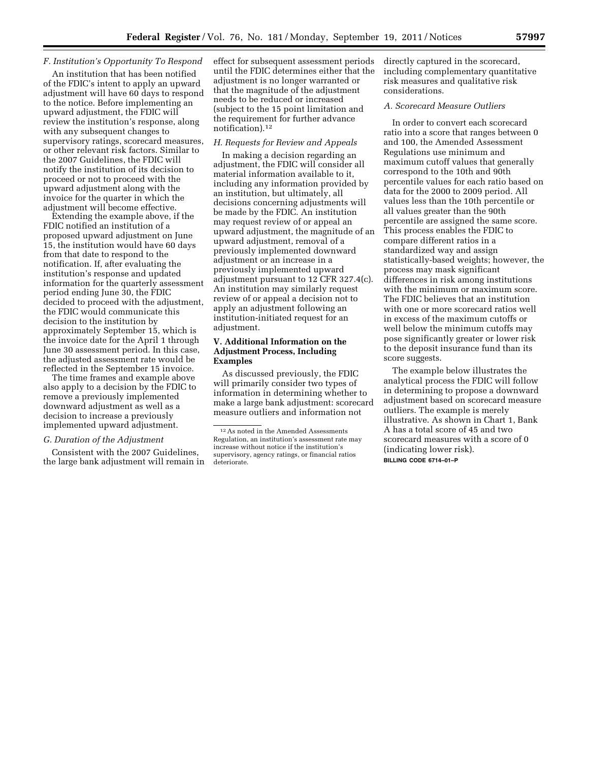## *F. Institution's Opportunity To Respond*

An institution that has been notified of the FDIC's intent to apply an upward adjustment will have 60 days to respond to the notice. Before implementing an upward adjustment, the FDIC will review the institution's response, along with any subsequent changes to supervisory ratings, scorecard measures, or other relevant risk factors. Similar to the 2007 Guidelines, the FDIC will notify the institution of its decision to proceed or not to proceed with the upward adjustment along with the invoice for the quarter in which the adjustment will become effective.

Extending the example above, if the FDIC notified an institution of a proposed upward adjustment on June 15, the institution would have 60 days from that date to respond to the notification. If, after evaluating the institution's response and updated information for the quarterly assessment period ending June 30, the FDIC decided to proceed with the adjustment, the FDIC would communicate this decision to the institution by approximately September 15, which is the invoice date for the April 1 through June 30 assessment period. In this case, the adjusted assessment rate would be reflected in the September 15 invoice.

The time frames and example above also apply to a decision by the FDIC to remove a previously implemented downward adjustment as well as a decision to increase a previously implemented upward adjustment.

#### *G. Duration of the Adjustment*

Consistent with the 2007 Guidelines, the large bank adjustment will remain in

effect for subsequent assessment periods until the FDIC determines either that the adjustment is no longer warranted or that the magnitude of the adjustment needs to be reduced or increased (subject to the 15 point limitation and the requirement for further advance notification).12

#### *H. Requests for Review and Appeals*

In making a decision regarding an adjustment, the FDIC will consider all material information available to it, including any information provided by an institution, but ultimately, all decisions concerning adjustments will be made by the FDIC. An institution may request review of or appeal an upward adjustment, the magnitude of an upward adjustment, removal of a previously implemented downward adjustment or an increase in a previously implemented upward adjustment pursuant to 12 CFR 327.4(c). An institution may similarly request review of or appeal a decision not to apply an adjustment following an institution-initiated request for an adjustment.

#### **V. Additional Information on the Adjustment Process, Including Examples**

As discussed previously, the FDIC will primarily consider two types of information in determining whether to make a large bank adjustment: scorecard measure outliers and information not

directly captured in the scorecard, including complementary quantitative risk measures and qualitative risk considerations.

### *A. Scorecard Measure Outliers*

In order to convert each scorecard ratio into a score that ranges between 0 and 100, the Amended Assessment Regulations use minimum and maximum cutoff values that generally correspond to the 10th and 90th percentile values for each ratio based on data for the 2000 to 2009 period. All values less than the 10th percentile or all values greater than the 90th percentile are assigned the same score. This process enables the FDIC to compare different ratios in a standardized way and assign statistically-based weights; however, the process may mask significant differences in risk among institutions with the minimum or maximum score. The FDIC believes that an institution with one or more scorecard ratios well in excess of the maximum cutoffs or well below the minimum cutoffs may pose significantly greater or lower risk to the deposit insurance fund than its score suggests.

The example below illustrates the analytical process the FDIC will follow in determining to propose a downward adjustment based on scorecard measure outliers. The example is merely illustrative. As shown in Chart 1, Bank A has a total score of 45 and two scorecard measures with a score of 0 (indicating lower risk). **BILLING CODE 6714–01–P** 

<sup>12</sup>As noted in the Amended Assessments Regulation, an institution's assessment rate may increase without notice if the institution's supervisory, agency ratings, or financial ratios deteriorate.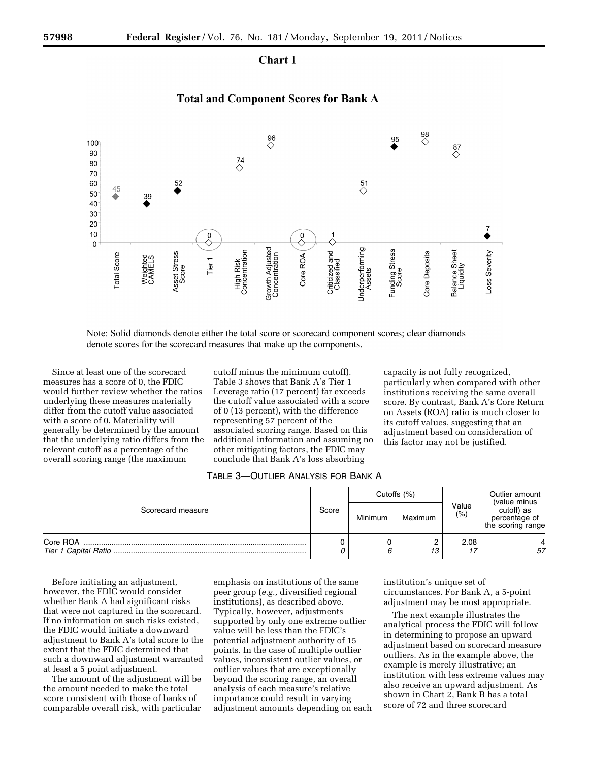Chart 1

## **Total and Component Scores for Bank A**



Note: Solid diamonds denote either the total score or scorecard component scores; clear diamonds denote scores for the scorecard measures that make up the components.

Since at least one of the scorecard measures has a score of 0, the FDIC would further review whether the ratios underlying these measures materially differ from the cutoff value associated with a score of 0. Materiality will generally be determined by the amount that the underlying ratio differs from the relevant cutoff as a percentage of the overall scoring range (the maximum

cutoff minus the minimum cutoff). Table 3 shows that Bank A's Tier 1 Leverage ratio (17 percent) far exceeds the cutoff value associated with a score of 0 (13 percent), with the difference representing 57 percent of the associated scoring range. Based on this additional information and assuming no other mitigating factors, the FDIC may conclude that Bank A's loss absorbing

capacity is not fully recognized, particularly when compared with other institutions receiving the same overall score. By contrast, Bank A's Core Return on Assets (ROA) ratio is much closer to its cutoff values, suggesting that an adjustment based on consideration of this factor may not be justified.

| Table 3—Outlier Analysis for Bank A |
|-------------------------------------|
|                                     |

| Scorecard measure | Score | Cutoffs (%) |         |                  | Outlier amount<br>(value minus                   |
|-------------------|-------|-------------|---------|------------------|--------------------------------------------------|
|                   |       | Minimum     | Maximum | Value<br>$(\% )$ | cutoff) as<br>percentage of<br>the scoring range |
| Core ROA          |       | 6           | ے<br>13 | 2.08<br>17       | 57                                               |

Before initiating an adjustment, however, the FDIC would consider whether Bank A had significant risks that were not captured in the scorecard. If no information on such risks existed, the FDIC would initiate a downward adjustment to Bank A's total score to the extent that the FDIC determined that such a downward adjustment warranted at least a 5 point adjustment.

The amount of the adjustment will be the amount needed to make the total score consistent with those of banks of comparable overall risk, with particular

emphasis on institutions of the same peer group (*e.g.,* diversified regional institutions), as described above. Typically, however, adjustments supported by only one extreme outlier value will be less than the FDIC's potential adjustment authority of 15 points. In the case of multiple outlier values, inconsistent outlier values, or outlier values that are exceptionally beyond the scoring range, an overall analysis of each measure's relative importance could result in varying adjustment amounts depending on each institution's unique set of circumstances. For Bank A, a 5-point adjustment may be most appropriate.

The next example illustrates the analytical process the FDIC will follow in determining to propose an upward adjustment based on scorecard measure outliers. As in the example above, the example is merely illustrative; an institution with less extreme values may also receive an upward adjustment. As shown in Chart 2, Bank B has a total score of 72 and three scorecard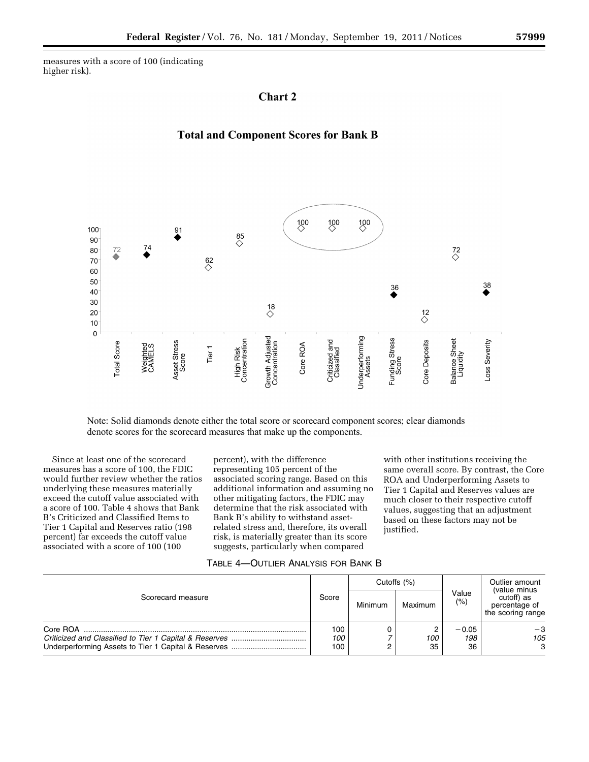measures with a score of 100 (indicating higher risk).

# **Chart 2**





Note: Solid diamonds denote either the total score or scorecard component scores; clear diamonds denote scores for the scorecard measures that make up the components.

Since at least one of the scorecard measures has a score of 100, the FDIC would further review whether the ratios underlying these measures materially exceed the cutoff value associated with a score of 100. Table 4 shows that Bank B's Criticized and Classified Items to Tier 1 Capital and Reserves ratio (198 percent) far exceeds the cutoff value associated with a score of 100 (100

percent), with the difference representing 105 percent of the associated scoring range. Based on this additional information and assuming no other mitigating factors, the FDIC may determine that the risk associated with Bank B's ability to withstand assetrelated stress and, therefore, its overall risk, is materially greater than its score suggests, particularly when compared

with other institutions receiving the same overall score. By contrast, the Core ROA and Underperforming Assets to Tier 1 Capital and Reserves values are much closer to their respective cutoff values, suggesting that an adjustment based on these factors may not be justified.

| Table 4—Outlier Analysis for Bank B |
|-------------------------------------|
|                                     |

| Scorecard measure | Score             | Cutoffs $(%)$ |           |                      | Outlier amount<br>(value minus                   |
|-------------------|-------------------|---------------|-----------|----------------------|--------------------------------------------------|
|                   |                   | Minimum       | Maximum   | Value<br>(%)         | cutoff) as<br>percentage of<br>the scoring range |
| Core ROA          | 100<br>100<br>100 |               | 100<br>35 | $-0.05$<br>198<br>36 | $-3$<br>105<br>3                                 |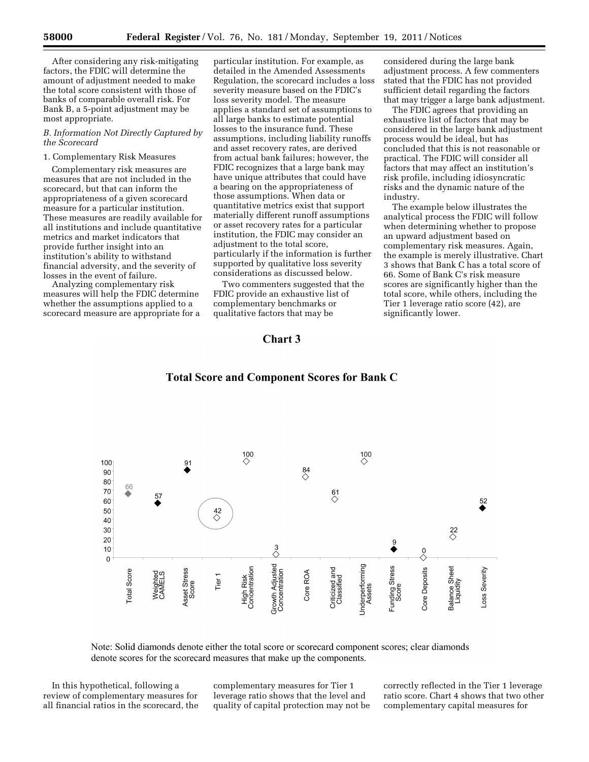After considering any risk-mitigating factors, the FDIC will determine the amount of adjustment needed to make the total score consistent with those of banks of comparable overall risk. For Bank B, a 5-point adjustment may be most appropriate.

### *B. Information Not Directly Captured by the Scorecard*

## 1. Complementary Risk Measures

Complementary risk measures are measures that are not included in the scorecard, but that can inform the appropriateness of a given scorecard measure for a particular institution. These measures are readily available for all institutions and include quantitative metrics and market indicators that provide further insight into an institution's ability to withstand financial adversity, and the severity of losses in the event of failure.

Analyzing complementary risk measures will help the FDIC determine whether the assumptions applied to a scorecard measure are appropriate for a

particular institution. For example, as detailed in the Amended Assessments Regulation, the scorecard includes a loss severity measure based on the FDIC's loss severity model. The measure applies a standard set of assumptions to all large banks to estimate potential losses to the insurance fund. These assumptions, including liability runoffs and asset recovery rates, are derived from actual bank failures; however, the FDIC recognizes that a large bank may have unique attributes that could have a bearing on the appropriateness of those assumptions. When data or quantitative metrics exist that support materially different runoff assumptions or asset recovery rates for a particular institution, the FDIC may consider an adjustment to the total score, particularly if the information is further supported by qualitative loss severity considerations as discussed below.

Two commenters suggested that the FDIC provide an exhaustive list of complementary benchmarks or qualitative factors that may be

considered during the large bank adjustment process. A few commenters stated that the FDIC has not provided sufficient detail regarding the factors that may trigger a large bank adjustment.

The FDIC agrees that providing an exhaustive list of factors that may be considered in the large bank adjustment process would be ideal, but has concluded that this is not reasonable or practical. The FDIC will consider all factors that may affect an institution's risk profile, including idiosyncratic risks and the dynamic nature of the industry.

The example below illustrates the analytical process the FDIC will follow when determining whether to propose an upward adjustment based on complementary risk measures. Again, the example is merely illustrative. Chart 3 shows that Bank C has a total score of 66. Some of Bank C's risk measure scores are significantly higher than the total score, while others, including the Tier 1 leverage ratio score (42), are significantly lower.

## Chart 3



# **Total Score and Component Scores for Bank C**

Note: Solid diamonds denote either the total score or scorecard component scores; clear diamonds denote scores for the scorecard measures that make up the components.

In this hypothetical, following a review of complementary measures for all financial ratios in the scorecard, the complementary measures for Tier 1 leverage ratio shows that the level and quality of capital protection may not be correctly reflected in the Tier 1 leverage ratio score. Chart 4 shows that two other complementary capital measures for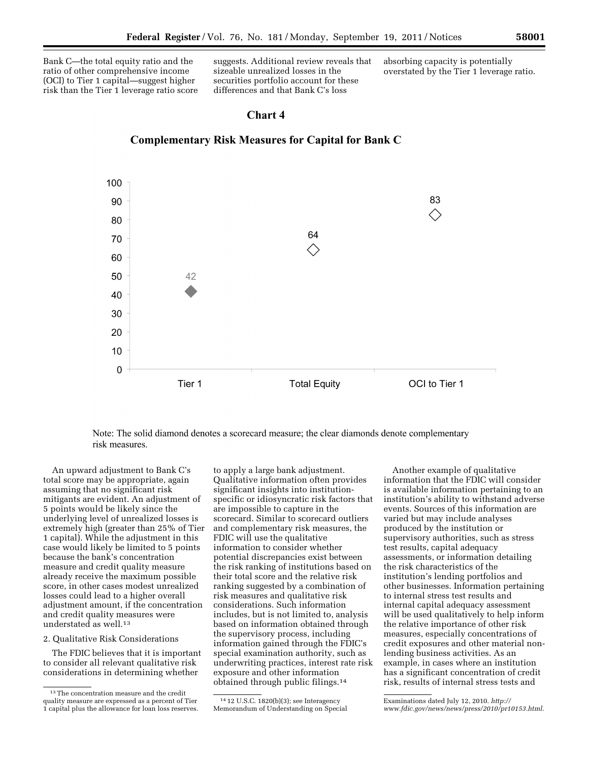Bank C—the total equity ratio and the ratio of other comprehensive income (OCI) to Tier 1 capital—suggest higher risk than the Tier 1 leverage ratio score suggests. Additional review reveals that sizeable unrealized losses in the securities portfolio account for these differences and that Bank C's loss

absorbing capacity is potentially overstated by the Tier 1 leverage ratio.

# Chart 4



**Complementary Risk Measures for Capital for Bank C** 

Note: The solid diamond denotes a scorecard measure; the clear diamonds denote complementary risk measures.

An upward adjustment to Bank C's total score may be appropriate, again assuming that no significant risk mitigants are evident. An adjustment of 5 points would be likely since the underlying level of unrealized losses is extremely high (greater than 25% of Tier 1 capital). While the adjustment in this case would likely be limited to 5 points because the bank's concentration measure and credit quality measure already receive the maximum possible score, in other cases modest unrealized losses could lead to a higher overall adjustment amount, if the concentration and credit quality measures were understated as well.13

#### 2. Qualitative Risk Considerations

The FDIC believes that it is important to consider all relevant qualitative risk considerations in determining whether

to apply a large bank adjustment. Qualitative information often provides significant insights into institutionspecific or idiosyncratic risk factors that are impossible to capture in the scorecard. Similar to scorecard outliers and complementary risk measures, the FDIC will use the qualitative information to consider whether potential discrepancies exist between the risk ranking of institutions based on their total score and the relative risk ranking suggested by a combination of risk measures and qualitative risk considerations. Such information includes, but is not limited to, analysis based on information obtained through the supervisory process, including information gained through the FDIC's special examination authority, such as underwriting practices, interest rate risk exposure and other information obtained through public filings.14

Another example of qualitative information that the FDIC will consider is available information pertaining to an institution's ability to withstand adverse events. Sources of this information are varied but may include analyses produced by the institution or supervisory authorities, such as stress test results, capital adequacy assessments, or information detailing the risk characteristics of the institution's lending portfolios and other businesses. Information pertaining to internal stress test results and internal capital adequacy assessment will be used qualitatively to help inform the relative importance of other risk measures, especially concentrations of credit exposures and other material nonlending business activities. As an example, in cases where an institution has a significant concentration of credit risk, results of internal stress tests and

 $^{13}$  The concentration measure and the credit quality measure are expressed as a percent of Tier 1 capital plus the allowance for loan loss reserves.

<sup>14</sup> 12 U.S.C. 1820(b)(3); see Interagency Memorandum of Understanding on Special

Examinations dated July 12, 2010. *[http://](http://www.fdic.gov/news/news/press/2010/pr10153.html) [www.fdic.gov/news/news/press/2010/pr10153.html](http://www.fdic.gov/news/news/press/2010/pr10153.html)*.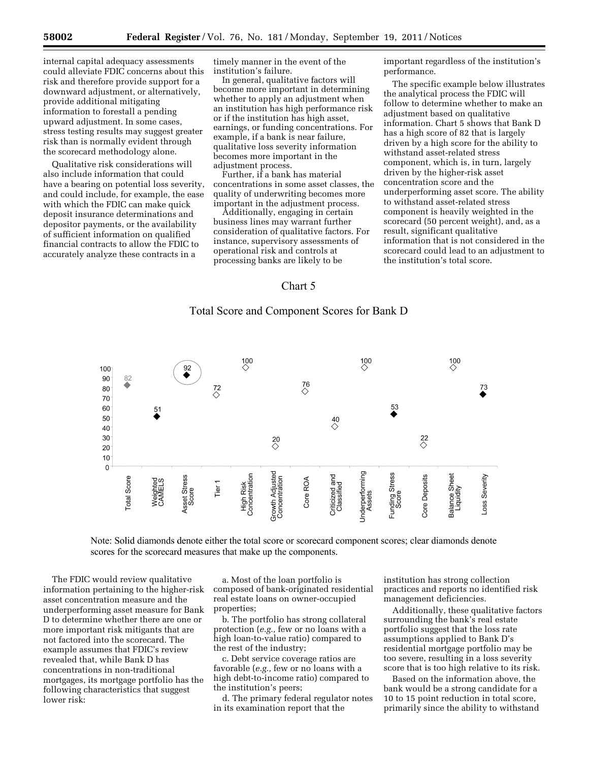internal capital adequacy assessments could alleviate FDIC concerns about this risk and therefore provide support for a downward adjustment, or alternatively, provide additional mitigating information to forestall a pending upward adjustment. In some cases, stress testing results may suggest greater risk than is normally evident through the scorecard methodology alone.

Qualitative risk considerations will also include information that could have a bearing on potential loss severity, and could include, for example, the ease with which the FDIC can make quick deposit insurance determinations and depositor payments, or the availability of sufficient information on qualified financial contracts to allow the FDIC to accurately analyze these contracts in a

timely manner in the event of the institution's failure.

In general, qualitative factors will become more important in determining whether to apply an adjustment when an institution has high performance risk or if the institution has high asset, earnings, or funding concentrations. For example, if a bank is near failure, qualitative loss severity information becomes more important in the adjustment process.

Further, if a bank has material concentrations in some asset classes, the quality of underwriting becomes more important in the adjustment process.

Additionally, engaging in certain business lines may warrant further consideration of qualitative factors. For instance, supervisory assessments of operational risk and controls at processing banks are likely to be

important regardless of the institution's performance.

The specific example below illustrates the analytical process the FDIC will follow to determine whether to make an adjustment based on qualitative information. Chart 5 shows that Bank D has a high score of 82 that is largely driven by a high score for the ability to withstand asset-related stress component, which is, in turn, largely driven by the higher-risk asset concentration score and the underperforming asset score. The ability to withstand asset-related stress component is heavily weighted in the scorecard (50 percent weight), and, as a result, significant qualitative information that is not considered in the scorecard could lead to an adjustment to the institution's total score.

# Chart 5

# Total Score and Component Scores for Bank D



Note: Solid diamonds denote either the total score or scorecard component scores; clear diamonds denote scores for the scorecard measures that make up the components.

The FDIC would review qualitative information pertaining to the higher-risk asset concentration measure and the underperforming asset measure for Bank D to determine whether there are one or more important risk mitigants that are not factored into the scorecard. The example assumes that FDIC's review revealed that, while Bank D has concentrations in non-traditional mortgages, its mortgage portfolio has the following characteristics that suggest lower risk:

a. Most of the loan portfolio is composed of bank-originated residential real estate loans on owner-occupied properties;

b. The portfolio has strong collateral protection (*e.g.,* few or no loans with a high loan-to-value ratio) compared to the rest of the industry;

c. Debt service coverage ratios are favorable (*e.g.,* few or no loans with a high debt-to-income ratio) compared to the institution's peers;

d. The primary federal regulator notes in its examination report that the

institution has strong collection practices and reports no identified risk management deficiencies.

Additionally, these qualitative factors surrounding the bank's real estate portfolio suggest that the loss rate assumptions applied to Bank D's residential mortgage portfolio may be too severe, resulting in a loss severity score that is too high relative to its risk.

Based on the information above, the bank would be a strong candidate for a 10 to 15 point reduction in total score, primarily since the ability to withstand